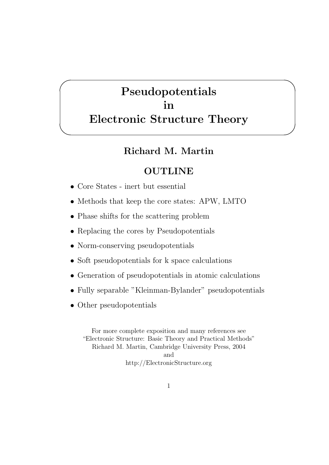# Pseudopotentials in Electronic Structure Theory

#### Richard M. Martin

### **OUTLINE**

• Core States - inert but essential

 $\overline{\phantom{0}}$ 

 $\searrow$ 

- Methods that keep the core states: APW, LMTO
- Phase shifts for the scattering problem
- Replacing the cores by Pseudopotentials
- Norm-conserving pseudopotentials
- Soft pseudopotentials for k space calculations
- Generation of pseudopotentials in atomic calculations
- Fully separable "Kleinman-Bylander" pseudopotentials
- Other pseudopotentials

For more complete exposition and many references see "Electronic Structure: Basic Theory and Practical Methods" Richard M. Martin, Cambridge University Press, 2004 and http://ElectronicStructure.org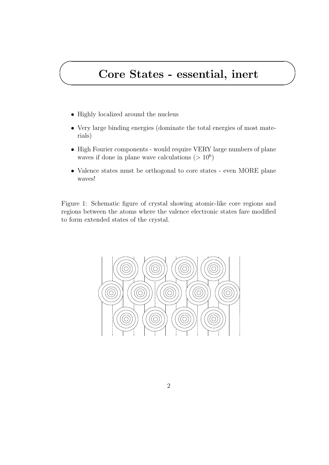# Core States - essential, inert

• Highly localized around the nucleus

✬

 $\searrow$ 

- Very large binding energies (dominate the total energies of most materials)
- High Fourier components would require VERY large numbers of plane waves if done in plane wave calculations ( $> 10^6$ )
- Valence states must be orthogonal to core states even MORE plane waves!

Figure 1: Schematic figure of crystal showing atomic-like core regions and regions between the atoms where the valence electronic states fare modified to form extended states of the crystal.

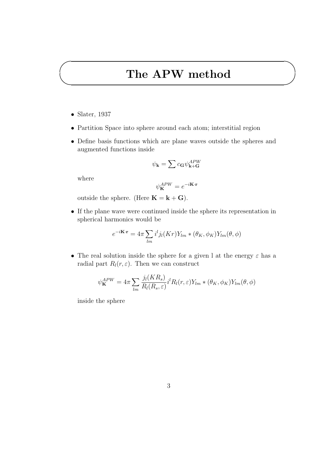## The APW method

• Slater, 1937

✬

 $\searrow$ 

- Partition Space into sphere around each atom; interstitial region
- Define basis functions which are plane waves outside the spheres and augmented functions inside

$$
\psi_{\mathbf{k}} = \sum c_{\mathbf{G}} \psi_{\mathbf{k}+\mathbf{G}}^{APW}
$$

where

$$
\psi_{\mathbf{K}}^{APW}=e^{-i\mathbf{K}\cdot\mathbf{r}}
$$

outside the sphere. (Here  $\mathbf{K} = \mathbf{k} + \mathbf{G}$ ).

• If the plane wave were continued inside the sphere its representation in spherical harmonics would be

$$
e^{-i\mathbf{K}\cdot\mathbf{r}} = 4\pi \sum_{lm} i^l j_l(Kr) Y_{lm} * (\theta_K, \phi_K) Y_{lm}(\theta, \phi)
$$

• The real solution inside the sphere for a given l at the energy  $\varepsilon$  has a radial part  $R_l(r, \varepsilon)$ . Then we can construct

$$
\psi_{\mathbf{K}}^{APW} = 4\pi \sum_{lm} \frac{j_l(KR_s)}{R_l(R_s, \varepsilon)} i^l R_l(r, \varepsilon) Y_{lm} * (\theta_K, \phi_K) Y_{lm}(\theta, \phi)
$$

inside the sphere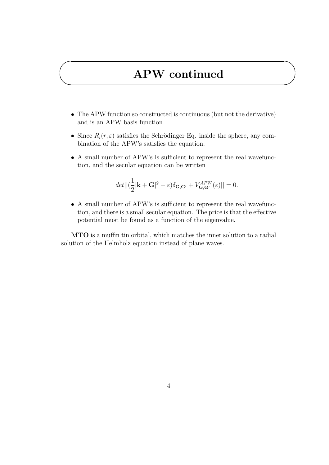# APW continued

✬

 $\searrow$ 

- The APW function so constructed is continuous (but not the derivative) and is an APW basis function.
- Since  $R_l(r, \varepsilon)$  satisfies the Schrödinger Eq. inside the sphere, any combination of the APW's satisfies the equation.
- A small number of APW's is sufficient to represent the real wavefunction, and the secular equation can be written

$$
det||(\frac{1}{2}|\mathbf{k}+\mathbf{G}|^2-\varepsilon)\delta_{\mathbf{G},\mathbf{G}'}+V_{\mathbf{G},\mathbf{G}'}^{APW}(\varepsilon)||=0.
$$

• A small number of APW's is sufficient to represent the real wavefunction, and there is a small secular equation. The price is that the effective potential must be found as a function of the eigenvalue.

MTO is a muffin tin orbital, which matches the inner solution to a radial solution of the Helmholz equation instead of plane waves.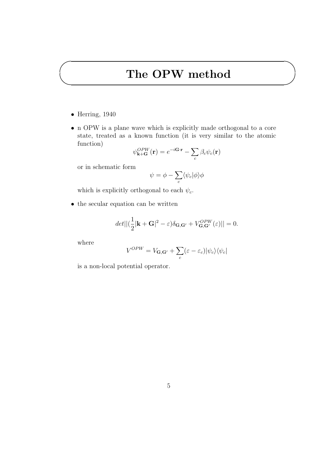## The OPW method

 $\bullet$  Herring, 1940

✬

 $\searrow$ 

• n OPW is a plane wave which is explicitly made orthogonal to a core state, treated as a known function (it is very similar to the atomic function)  $\overline{\phantom{a}}$ 

$$
\psi_{\mathbf{k}+\mathbf{G}}^{OPW}(\mathbf{r}) = e^{-i\mathbf{G}\cdot\mathbf{r}} - \sum_{c} \beta_c \psi_c(\mathbf{r})
$$

or in schematic form

$$
\psi = \phi - \sum_{c} \langle \psi_c | \phi \rangle \phi
$$

which is explicitly orthogonal to each  $\psi_c$ .

• the secular equation can be written

$$
det||(\frac{1}{2}|\mathbf{k}+\mathbf{G}|^2-\varepsilon)\delta_{\mathbf{G},\mathbf{G}'}+V_{\mathbf{G},\mathbf{G}'}^{OPW}(\varepsilon)||=0.
$$

where

$$
V^{OPW} = V_{\mathbf{G},\mathbf{G}'} + \sum_{c} (\varepsilon - \varepsilon_c) |\psi_c\rangle \langle \psi_c|
$$

is a non-local potential operator.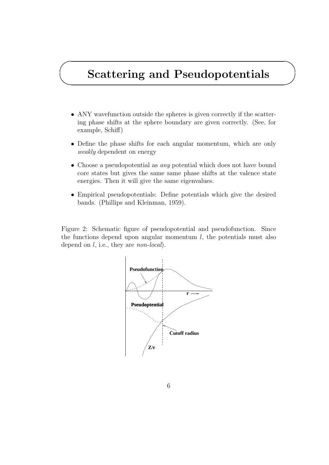# Scattering and Pseudopotentials

✬

 $\searrow$ 

- ANY wavefunction outside the spheres is given correctly if the scattering phase shifts at the sphere boundary are given correctly. (See, for example, Schiff)
- Define the phase shifts for each angular momentum, which are only weakly dependent on energy
- Choose a pseudopotential as *any* potential which does not have bound core states but gives the same same phase shifts at the valence state energies. Then it will give the same eigenvalues.
- Empirical pseudopotentials: Define potentials which give the desired bands. (Phillips and Kleinman, 1959).

Figure 2: Schematic figure of pseudopotential and pseudofunction. Since the functions depend upon angular momentum  $l$ , the potentials must also depend on *l*, i.e., they are *non-local*).

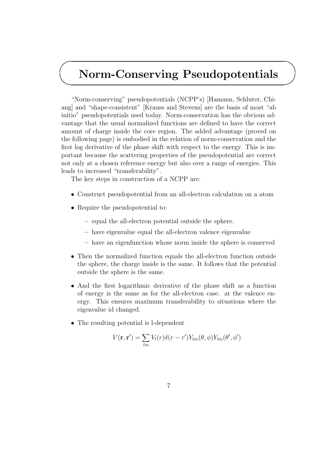#### $\searrow$ Norm-Conserving Pseudopotentials

"Norm-conserving" pseudopotentials (NCPP's) [Hamann, Schluter, Chiang] and "shape-consistent" [Krauss and Stevens] are the basis of most "ab initio" pseudopotentials used today. Norm-conservation has the obvious advantage that the usual normalized functions are defined to have the correct amount of charge inside the core region. The added advantage (proved on the following page) is embodied in the relation of norm-conservation and the first log derivative of the phase shift with respect to the energy. This is important because the scattering properties of the pseudopotential are correct not only at a chosen reference energy but also over a range of energies. This leads to increased "transferability".

The key steps in construction of a NCPP are:

- Construct pseudopotential from an all-electron calculation on a atom
- Require the pseudopotential to:

✬

- equal the all-electron potential outside the sphere.
- have eigenvalue equal the all-electron valence eigenvalue
- have an eigenfunction whose norm inside the sphere is conserved
- Then the normalized function equals the all-electron function outside the sphere, the charge inside is the same. It follows that the potential outside the sphere is the same.
- And the first logarithmic derivative of the phase shift as a function of energy is the same as for the all-electron case. at the valence energy. This ensures maximum transferability to situations where the eigenvalue id changed.
- The resulting potential is l-dependent

$$
V(\mathbf{r}, \mathbf{r}') = \sum_{lm} V_l(r) \delta(r - r') Y_{lm}(\theta, \phi) Y_{lm}(\theta', \phi')
$$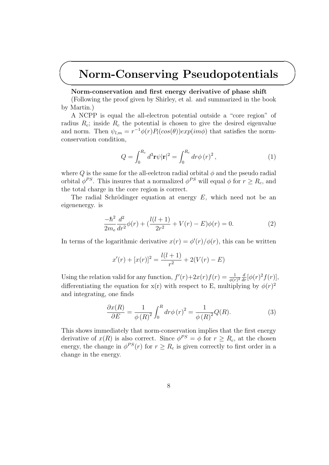### Norm-Conserving Pseudopotentials

#### Norm-conservation and first energy derivative of phase shift

✬

 $\searrow$ 

(Following the proof given by Shirley, et al. and summarized in the book by Martin.)

A NCPP is equal the all-electron potential outside a "core region" of radius  $R_c$ ; inside  $R_c$  the potential is chosen to give the desired eigenvalue and norm. Then  $\psi_{l,m} = r^{-1} \phi(r) P_l(cos(\theta)) exp(im\phi)$  that satisfies the normconservation condition,

$$
Q = \int_0^{R_c} d^3 \mathbf{r} \psi |\mathbf{r}|^2 = \int_0^{R_c} dr \phi (r)^2 , \qquad (1)
$$

where Q is the same for the all-eelctron radial orbital  $\phi$  and the pseudo radial orbital  $\phi^{PS}$ . This insures that a normalized  $\phi^{PS}$  will equal  $\phi$  for  $r \geq R_c$ , and the total charge in the core region is correct.

The radial Schrödinger equation at energy  $E$ , which need not be an eigenenergy. is

$$
\frac{-\hbar^2}{2m_e}\frac{d^2}{dr^2}\phi(r) + \left(\frac{l(l+1)}{2r^2} + V(r) - E\right)\phi(r) = 0.
$$
 (2)

In terms of the logarithmic derivative  $x(r) = \phi'(r)/\phi(r)$ , this can be written

$$
x'(r) + [x(r)]^2 = \frac{l(l+1)}{r^2} + 2(V(r) - E)
$$

Using the relation valid for any function,  $f'(r)+2x(r)f(r) = \frac{1}{\phi(r)^2}\frac{d}{dr}[\phi(r)^2f(r)],$ differentiating the equation for  $x(r)$  with respect to E, multiplying by  $\phi(r)^2$ and integrating, one finds

$$
\frac{\partial x(R)}{\partial E} = \frac{1}{\phi(R)^2} \int_0^R dr \phi(r)^2 = \frac{1}{\phi(R)^2} Q(R). \tag{3}
$$

This shows immediately that norm-conservation implies that the first energy derivative of  $x(R)$  is also correct. Since  $\phi^{PS} = \phi$  for  $r \geq R_c$ , at the chosen energy, the change in  $\phi^{PS}(r)$  for  $r \geq R_c$  is given correctly to first order in a change in the energy.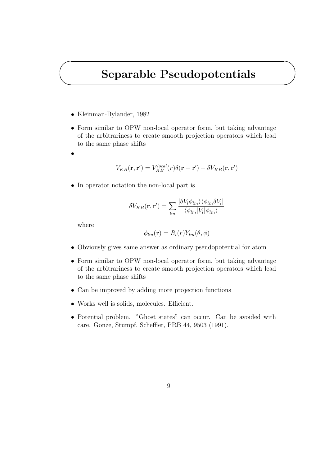### Separable Pseudopotentials

- Kleinman-Bylander, 1982
- Form similar to OPW non-local operator form, but taking advantage of the arbitrariness to create smooth projection operators which lead to the same phase shifts
- •

✬

 $\searrow$ 

$$
V_{KB}(\mathbf{r},\mathbf{r}') = V_{KB}^{local}(r)\delta(\mathbf{r}-\mathbf{r}') + \delta V_{KB}(\mathbf{r},\mathbf{r}')
$$

• In operator notation the non-local part is

$$
\delta V_{KB}(\mathbf{r}, \mathbf{r}') = \sum_{lm} \frac{|\delta V_l \phi_{lm}\rangle \langle \phi_{lm} \delta V_l|}{\langle \phi_{lm} | V_l | \phi_{lm} \rangle}
$$

where

$$
\phi_{lm}(\mathbf{r}) = R_l(r)Y_{lm}(\theta, \phi)
$$

- Obviously gives same answer as ordinary pseudopotential for atom
- Form similar to OPW non-local operator form, but taking advantage of the arbitrariness to create smooth projection operators which lead to the same phase shifts
- Can be improved by adding more projection functions
- Works well is solids, molecules. Efficient.
- Potential problem. "Ghost states" can occur. Can be avoided with care. Gonze, Stumpf, Scheffler, PRB 44, 9503 (1991).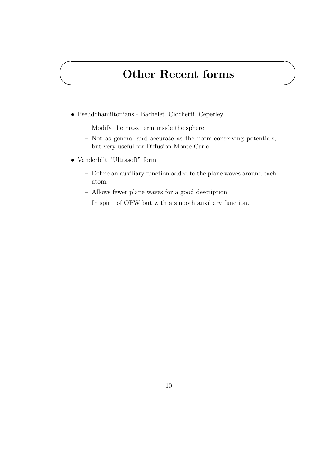## Other Recent forms

- Pseudohamiltonians Bachelet, Ciochetti, Ceperley
	- Modify the mass term inside the sphere
	- Not as general and accurate as the norm-conserving potentials, but very useful for Diffusion Monte Carlo
- Vanderbilt "Ultrasoft" form

✬

 $\searrow$ 

- Define an auxiliary function added to the plane waves around each atom.
- Allows fewer plane waves for a good description.
- In spirit of OPW but with a smooth auxiliary function.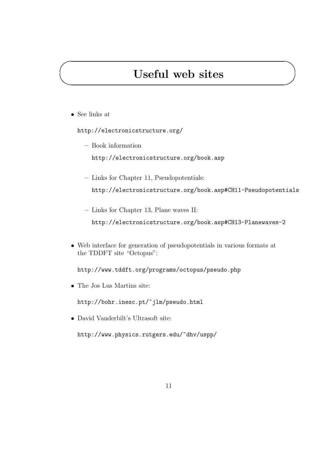# Useful web sites

• See links at

✬

 $\searrow$ 

http://electronicstructure.org/

– Book information

http://electronicstructure.org/book.asp

- Links for Chapter 11, Pseudopotentials: http://electronicstructure.org/book.asp#CH11-Pseudopotentials
- Links for Chapter 13, Plane waves II: http://electronicstructure.org/book.asp#CH13-Planewaves-2
- Web interface for generation of pseudopotentials in various formats at the TDDFT site "Octopus":

http://www.tddft.org/programs/octopus/pseudo.php

• The Jos Lus Martins site:

http://bohr.inesc.pt/~jlm/pseudo.html

• David Vanderbilt's Ultrasoft site:

http://www.physics.rutgers.edu/~dhv/uspp/